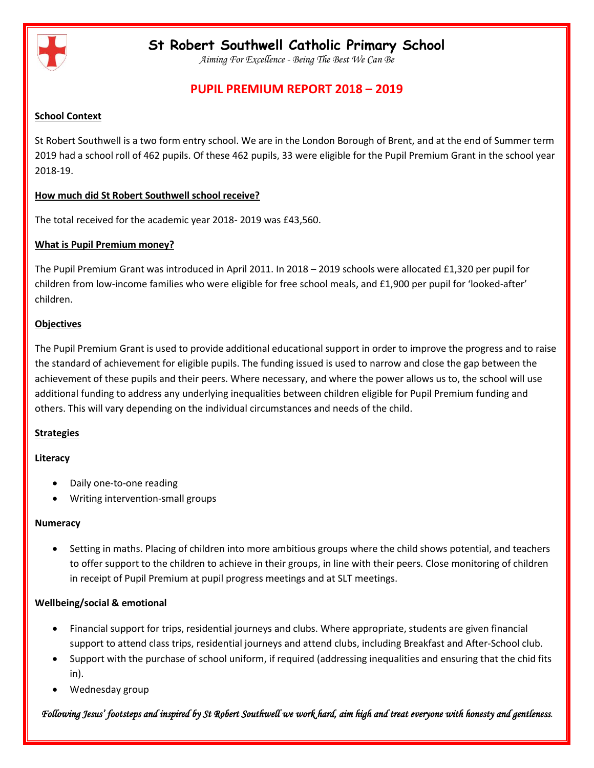

*Aiming For Excellence - Being The Best We Can Be*

## **PUPIL PREMIUM REPORT 2018 – 2019**

#### **School Context**

St Robert Southwell is a two form entry school. We are in the London Borough of Brent, and at the end of Summer term 2019 had a school roll of 462 pupils. Of these 462 pupils, 33 were eligible for the Pupil Premium Grant in the school year 2018-19.

### **How much did St Robert Southwell school receive?**

The total received for the academic year 2018- 2019 was £43,560.

### **What is Pupil Premium money?**

The Pupil Premium Grant was introduced in April 2011. In 2018 – 2019 schools were allocated £1,320 per pupil for children from low-income families who were eligible for free school meals, and £1,900 per pupil for 'looked-after' children.

### **Objectives**

The Pupil Premium Grant is used to provide additional educational support in order to improve the progress and to raise the standard of achievement for eligible pupils. The funding issued is used to narrow and close the gap between the achievement of these pupils and their peers. Where necessary, and where the power allows us to, the school will use additional funding to address any underlying inequalities between children eligible for Pupil Premium funding and others. This will vary depending on the individual circumstances and needs of the child.

### **Strategies**

### **Literacy**

- Daily one-to-one reading
- Writing intervention-small groups

### **Numeracy**

 Setting in maths. Placing of children into more ambitious groups where the child shows potential, and teachers to offer support to the children to achieve in their groups, in line with their peers. Close monitoring of children in receipt of Pupil Premium at pupil progress meetings and at SLT meetings.

### **Wellbeing/social & emotional**

- Financial support for trips, residential journeys and clubs. Where appropriate, students are given financial support to attend class trips, residential journeys and attend clubs, including Breakfast and After-School club.
- Support with the purchase of school uniform, if required (addressing inequalities and ensuring that the chid fits in).
- Wednesday group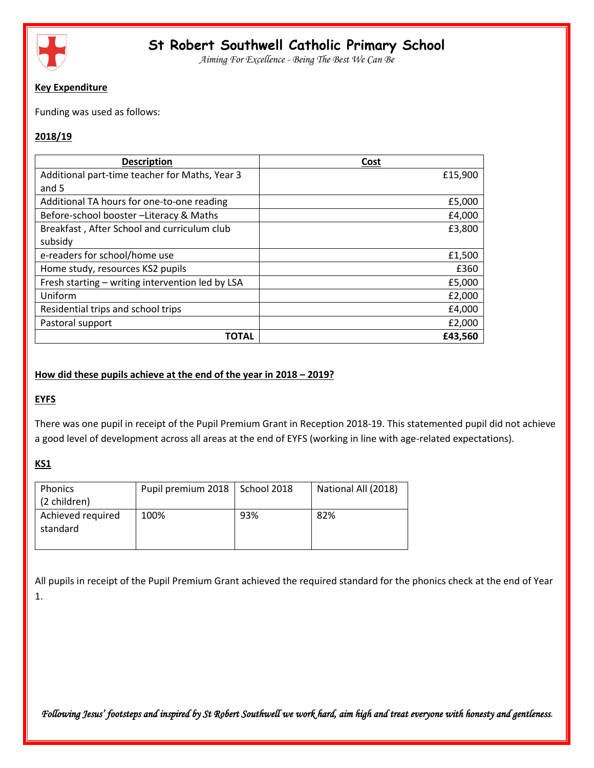

*Aiming For Excellence - Being The Best We Can Be*

### **Key Expenditure**

Funding was used as follows:

## **2018/19**

| <b>Description</b>                               | Cost    |
|--------------------------------------------------|---------|
| Additional part-time teacher for Maths, Year 3   | £15,900 |
| and 5                                            |         |
| Additional TA hours for one-to-one reading       | £5,000  |
| Before-school booster-Literacy & Maths           | £4,000  |
| Breakfast, After School and curriculum club      | £3,800  |
| subsidy                                          |         |
| e-readers for school/home use                    | £1,500  |
| Home study, resources KS2 pupils                 | £360    |
| Fresh starting - writing intervention led by LSA | £5,000  |
| Uniform                                          | £2,000  |
| Residential trips and school trips               | £4,000  |
| Pastoral support                                 | £2,000  |
| ΤΟΤΑL                                            | £43,560 |

### **How did these pupils achieve at the end of the year in 2018 – 2019?**

## **EYFS**

There was one pupil in receipt of the Pupil Premium Grant in Reception 2018-19. This statemented pupil did not achieve a good level of development across all areas at the end of EYFS (working in line with age-related expectations).

## **KS1**

| <b>Phonics</b><br>(2 children) | Pupil premium 2018   School 2018 |     | National All (2018) |
|--------------------------------|----------------------------------|-----|---------------------|
| Achieved required<br>standard  | 100%                             | 93% | 82%                 |

All pupils in receipt of the Pupil Premium Grant achieved the required standard for the phonics check at the end of Year 1.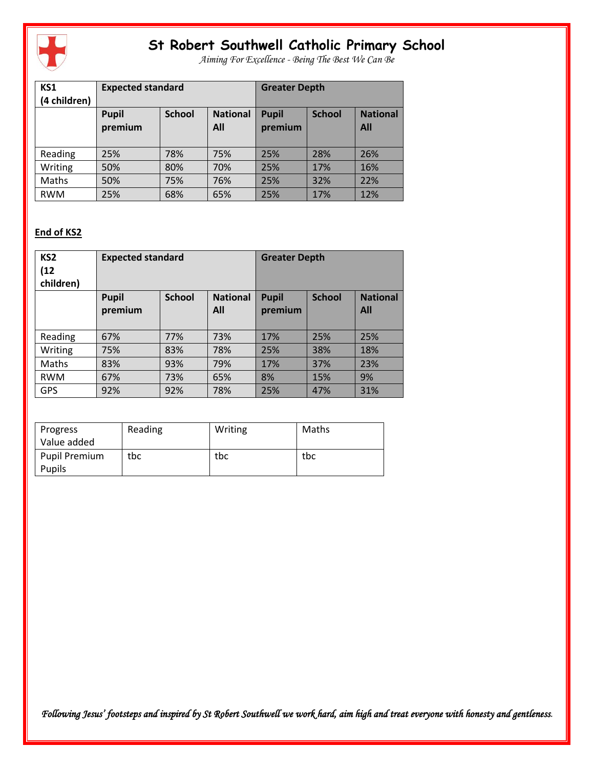

*Aiming For Excellence - Being The Best We Can Be*

| KS1<br>(4 children) | <b>Expected standard</b> |               | <b>Greater Depth</b>   |                         |               |                        |
|---------------------|--------------------------|---------------|------------------------|-------------------------|---------------|------------------------|
|                     | <b>Pupil</b><br>premium  | <b>School</b> | <b>National</b><br>All | <b>Pupil</b><br>premium | <b>School</b> | <b>National</b><br>All |
| Reading             | 25%                      | 78%           | 75%                    | 25%                     | 28%           | 26%                    |
| Writing             | 50%                      | 80%           | 70%                    | 25%                     | 17%           | 16%                    |
| Maths               | 50%                      | 75%           | 76%                    | 25%                     | 32%           | 22%                    |
| <b>RWM</b>          | 25%                      | 68%           | 65%                    | 25%                     | 17%           | 12%                    |

## **End of KS2**

| KS <sub>2</sub><br>(12)<br>children) | <b>Expected standard</b> |               | <b>Greater Depth</b>   |                         |               |                        |
|--------------------------------------|--------------------------|---------------|------------------------|-------------------------|---------------|------------------------|
|                                      | <b>Pupil</b><br>premium  | <b>School</b> | <b>National</b><br>All | <b>Pupil</b><br>premium | <b>School</b> | <b>National</b><br>All |
| Reading                              | 67%                      | 77%           | 73%                    | 17%                     | 25%           | 25%                    |
| Writing                              | 75%                      | 83%           | 78%                    | 25%                     | 38%           | 18%                    |
| Maths                                | 83%                      | 93%           | 79%                    | 17%                     | 37%           | 23%                    |
| <b>RWM</b>                           | 67%                      | 73%           | 65%                    | 8%                      | 15%           | 9%                     |
| <b>GPS</b>                           | 92%                      | 92%           | 78%                    | 25%                     | 47%           | 31%                    |

| Progress<br>Value added | Reading | Writing | Maths |
|-------------------------|---------|---------|-------|
| <b>Pupil Premium</b>    | tbc     | tbc     | tbc   |
| <b>Pupils</b>           |         |         |       |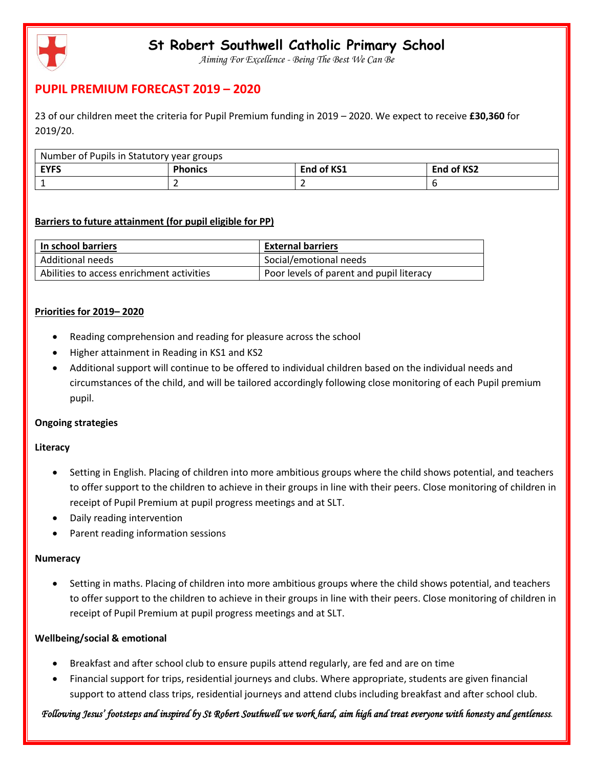

*Aiming For Excellence - Being The Best We Can Be*

## **PUPIL PREMIUM FORECAST 2019 – 2020**

23 of our children meet the criteria for Pupil Premium funding in 2019 – 2020. We expect to receive **£30,360** for 2019/20.

| Number of Pupils in Statutory year groups |                |            |            |
|-------------------------------------------|----------------|------------|------------|
| <b>EYFS</b>                               | <b>Phonics</b> | End of KS1 | End of KS2 |
|                                           |                |            |            |

## **Barriers to future attainment (for pupil eligible for PP)**

| In school barriers                        | <b>External barriers</b>                 |
|-------------------------------------------|------------------------------------------|
| Additional needs                          | Social/emotional needs                   |
| Abilities to access enrichment activities | Poor levels of parent and pupil literacy |

## **Priorities for 2019– 2020**

- Reading comprehension and reading for pleasure across the school
- Higher attainment in Reading in KS1 and KS2
- Additional support will continue to be offered to individual children based on the individual needs and circumstances of the child, and will be tailored accordingly following close monitoring of each Pupil premium pupil.

### **Ongoing strategies**

### **Literacy**

- Setting in English. Placing of children into more ambitious groups where the child shows potential, and teachers to offer support to the children to achieve in their groups in line with their peers. Close monitoring of children in receipt of Pupil Premium at pupil progress meetings and at SLT.
- Daily reading intervention
- Parent reading information sessions

### **Numeracy**

 Setting in maths. Placing of children into more ambitious groups where the child shows potential, and teachers to offer support to the children to achieve in their groups in line with their peers. Close monitoring of children in receipt of Pupil Premium at pupil progress meetings and at SLT.

### **Wellbeing/social & emotional**

- Breakfast and after school club to ensure pupils attend regularly, are fed and are on time
- Financial support for trips, residential journeys and clubs. Where appropriate, students are given financial support to attend class trips, residential journeys and attend clubs including breakfast and after school club.